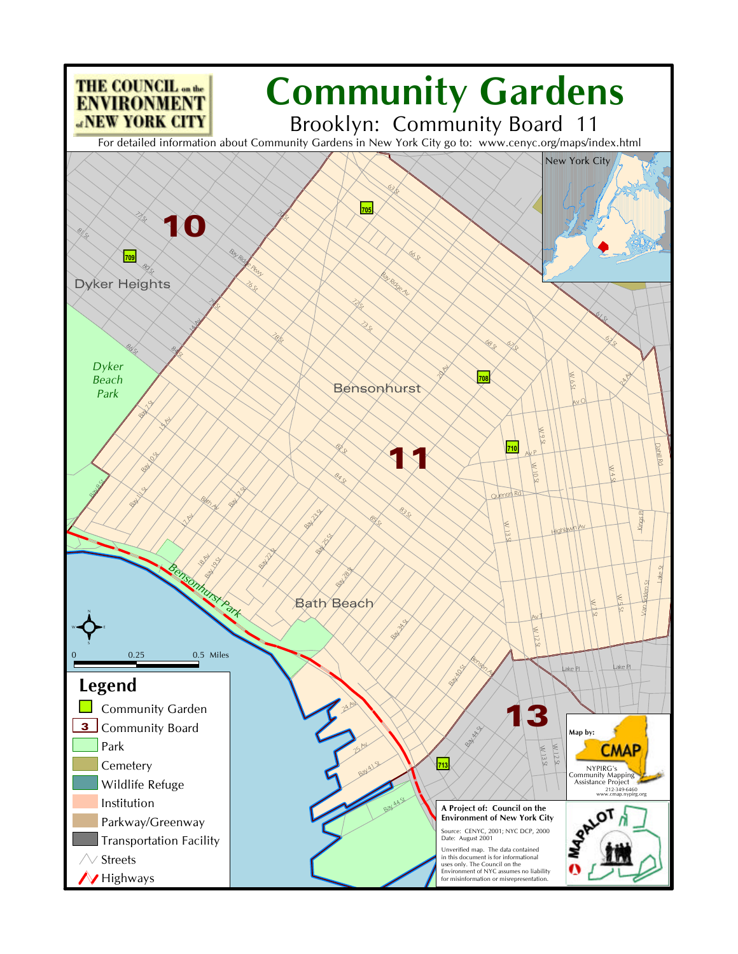